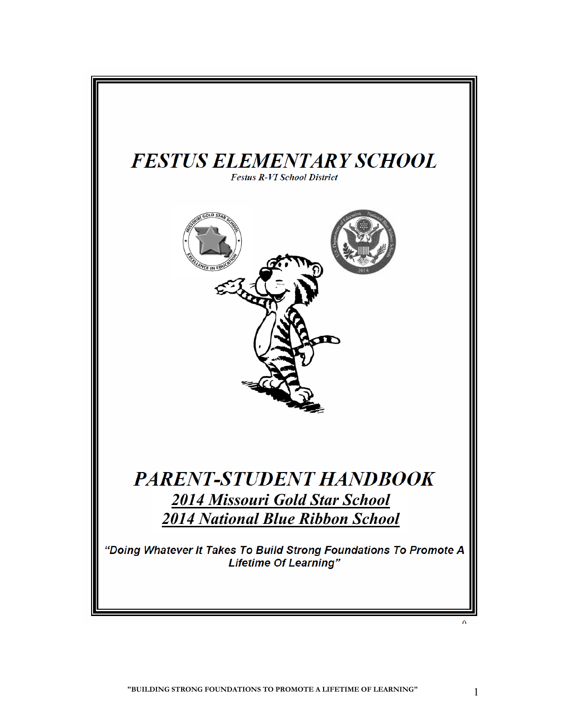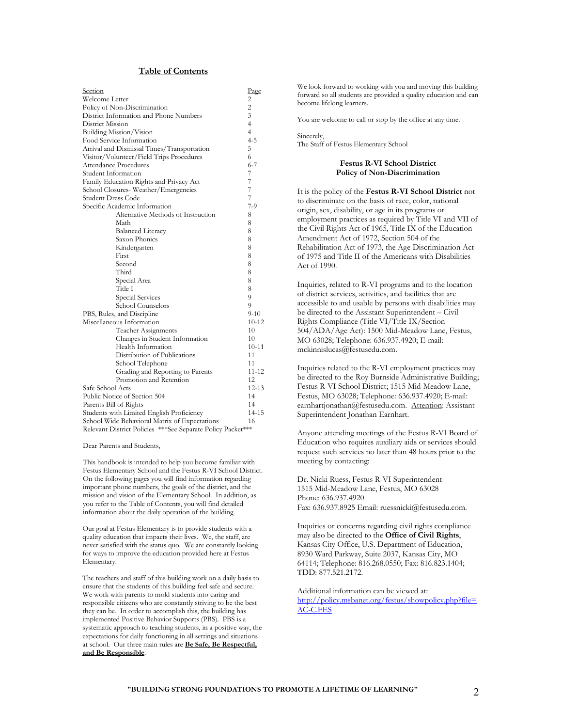## **Table of Contents**

| Section                                                       | Page      |  |  |  |  |  |  |
|---------------------------------------------------------------|-----------|--|--|--|--|--|--|
| Welcome Letter                                                |           |  |  |  |  |  |  |
| Policy of Non-Discrimination                                  |           |  |  |  |  |  |  |
| District Information and Phone Numbers                        |           |  |  |  |  |  |  |
| District Mission                                              |           |  |  |  |  |  |  |
| Building Mission/Vision                                       |           |  |  |  |  |  |  |
| Food Service Information                                      |           |  |  |  |  |  |  |
| Arrival and Dismissal Times/Transportation                    |           |  |  |  |  |  |  |
| Visitor/Volunteer/Field Trips Procedures                      |           |  |  |  |  |  |  |
| Attendance Procedures                                         |           |  |  |  |  |  |  |
| Student Information                                           |           |  |  |  |  |  |  |
| Family Education Rights and Privacy Act                       |           |  |  |  |  |  |  |
| School Closures-Weather/Emergencies                           |           |  |  |  |  |  |  |
| Student Dress Code                                            |           |  |  |  |  |  |  |
| Specific Academic Information                                 |           |  |  |  |  |  |  |
| Alternative Methods of Instruction                            | 8         |  |  |  |  |  |  |
| Math                                                          | 8         |  |  |  |  |  |  |
| <b>Balanced Literacy</b>                                      | 8         |  |  |  |  |  |  |
| Saxon Phonics                                                 | 8         |  |  |  |  |  |  |
| Kindergarten                                                  |           |  |  |  |  |  |  |
| First                                                         |           |  |  |  |  |  |  |
| Second                                                        |           |  |  |  |  |  |  |
| Third                                                         |           |  |  |  |  |  |  |
| Special Area                                                  |           |  |  |  |  |  |  |
| Title I                                                       |           |  |  |  |  |  |  |
| Special Services                                              |           |  |  |  |  |  |  |
| School Counselors                                             |           |  |  |  |  |  |  |
| PBS, Rules, and Discipline                                    |           |  |  |  |  |  |  |
| Miscellaneous Information                                     | $10 - 12$ |  |  |  |  |  |  |
| Teacher Assignments                                           | 10        |  |  |  |  |  |  |
| Changes in Student Information                                | 10        |  |  |  |  |  |  |
| Health Information                                            | $10 - 11$ |  |  |  |  |  |  |
| Distribution of Publications                                  | 11        |  |  |  |  |  |  |
| School Telephone                                              | 11        |  |  |  |  |  |  |
| Grading and Reporting to Parents                              | 11-12     |  |  |  |  |  |  |
| Promotion and Retention                                       | 12        |  |  |  |  |  |  |
| Safe School Acts                                              |           |  |  |  |  |  |  |
| Public Notice of Section 504                                  |           |  |  |  |  |  |  |
| Parents Bill of Rights                                        |           |  |  |  |  |  |  |
| Students with Limited English Proficiency                     |           |  |  |  |  |  |  |
| School Wide Behavioral Matrix of Expectations                 |           |  |  |  |  |  |  |
| Relevant District Policies *** See Separate Policy Packet *** |           |  |  |  |  |  |  |

Dear Parents and Students,

This handbook is intended to help you become familiar with Festus Elementary School and the Festus R-VI School District. On the following pages you will find information regarding important phone numbers, the goals of the district, and the mission and vision of the Elementary School. In addition, as you refer to the Table of Contents, you will find detailed information about the daily operation of the building.

Our goal at Festus Elementary is to provide students with a quality education that impacts their lives. We, the staff, are never satisfied with the status quo. We are constantly looking for ways to improve the education provided here at Festus Elementary.

The teachers and staff of this building work on a daily basis to ensure that the students of this building feel safe and secure. We work with parents to mold students into caring and responsible citizens who are constantly striving to be the best they can be. In order to accomplish this, the building has implemented Positive Behavior Supports (PBS). PBS is a systematic approach to teaching students, in a positive way, the expectations for daily functioning in all settings and situations at school. Our three main rules are **Be Safe, Be Respectful, and Be Responsible**.

We look forward to working with you and moving this building forward so all students are provided a quality education and can become lifelong learners.

You are welcome to call or stop by the office at any time.

Sincerely, The Staff of Festus Elementary School

#### **Festus R-VI School District Policy of Non-Discrimination**

It is the policy of the **Festus R-VI School District** not to discriminate on the basis of race, color, national origin, sex, disability, or age in its programs or employment practices as required by Title VI and VII of the Civil Rights Act of 1965, Title IX of the Education Amendment Act of 1972, Section 504 of the Rehabilitation Act of 1973, the Age Discrimination Act of 1975 and Title II of the Americans with Disabilities Act of 1990.

Inquiries, related to R-VI programs and to the location of district services, activities, and facilities that are accessible to and usable by persons with disabilities may be directed to the Assistant Superintendent – Civil Rights Compliance (Title VI/Title IX/Section 504/ADA/Age Act): 1500 Mid-Meadow Lane, Festus, MO 63028; Telephone: 636.937.4920; E-mail: mckinnislucas@festusedu.com.

Inquiries related to the R-VI employment practices may be directed to the Roy Burnside Administrative Building; Festus R-VI School District; 1515 Mid-Meadow Lane, Festus, MO 63028; Telephone: 636.937.4920; E-mail: earnhartjonathan@festusedu.com. Attention: Assistant Superintendent Jonathan Earnhart.

Anyone attending meetings of the Festus R-VI Board of Education who requires auxiliary aids or services should request such services no later than 48 hours prior to the meeting by contacting:

Dr. Nicki Ruess, Festus R-VI Superintendent 1515 Mid-Meadow Lane, Festus, MO 63028 Phone: 636.937.4920 Fax: 636.937.8925 Email: ruessnicki@festusedu.com.

Inquiries or concerns regarding civil rights compliance may also be directed to the **Office of Civil Rights**, Kansas City Office, U.S. Department of Education, 8930 Ward Parkway, Suite 2037, Kansas City, MO 64114; Telephone: 816.268.0550; Fax: 816.823.1404; TDD: 877.521.2172.

Additional information can be viewed at: [http://policy.msbanet.org/festus/showpolicy.php?file=](http://policy.msbanet.org/festus/showpolicy.php?file=AC-C.FES) [AC-C.FES](http://policy.msbanet.org/festus/showpolicy.php?file=AC-C.FES)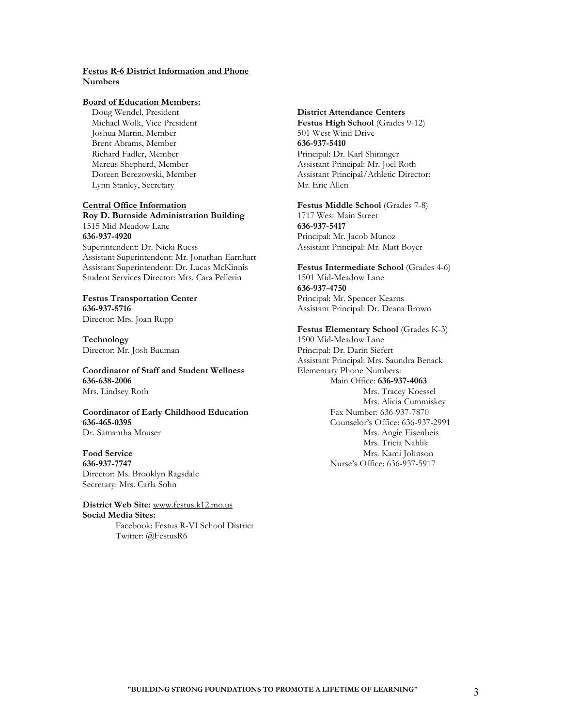## **Festus R-6 District Information and Phone Numbers**

## **Board of Education Members:**

 Doug Wendel, President Michael Wolk, Vice President Joshua Martin, Member Brent Abrams, Member Richard Fadler, Member Marcus Shepherd, Member Doreen Berezowski, Member Lynn Stanley, Secretary

#### **Central Office Information**

**Roy D. Burnside Administration Building** 1515 Mid-Meadow Lane **636-937-4920** Superintendent: Dr. Nicki Ruess Assistant Superintendent: Mr. Jonathan Earnhart Assistant Superintendent: Dr. Lucas McKinnis Student Services Director: Mrs. Cara Pellerin

## **Festus Transportation Center 636-937-5716**

Director: Mrs. Joan Rupp

**Technology** Director: Mr. Josh Bauman

**Coordinator of Staff and Student Wellness 636-638-2006** Mrs. Lindsey Roth

**Coordinator of Early Childhood Education 636-465-0395** Dr. Samantha Mouser

# **Food Service**

**636-937-7747** Director: Ms. Brooklyn Ragsdale Secretary: Mrs. Carla Sohn

**District Web Site:** [www.festus.k12.mo.us](http://www.festus.k12.mo.us/) **Social Media Sites:** 

> Facebook: Festus R-VI School District Twitter: @FestusR6

## **District Attendance Centers**

Festus High School (Grades 9-12) 501 West Wind Drive **636-937-5410** Principal: Dr. Karl Shininger Assistant Principal: Mr. Joel Roth Assistant Principal/Athletic Director: Mr. Eric Allen

**Festus Middle School** (Grades 7-8) 1717 West Main Street **636-937-5417** Principal: Mr. Jacob Munoz Assistant Principal: Mr. Matt Boyer

**Festus Intermediate School** (Grades 4-6) 1501 Mid-Meadow Lane **636-937-4750** Principal: Mr. Spencer Kearns Assistant Principal: Dr. Deana Brown

#### **Festus Elementary School** (Grades K-3)

1500 Mid-Meadow Lane Principal: Dr. Darin Siefert Assistant Principal: Mrs. Saundra Benack Elementary Phone Numbers: Main Office: **636-937-4063** Mrs. Tracey Koessel Mrs. Alicia Cummiskey Fax Number: 636-937-7870 Counselor's Office: 636-937-2991 Mrs. Angie Eisenbeis Mrs. Tricia Nahlik Mrs. Kami Johnson Nurse's Office: 636-937-5917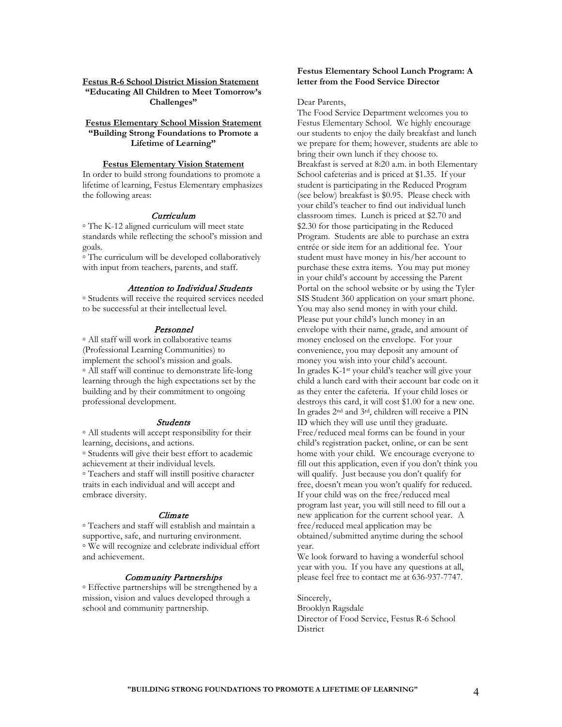**Festus R-6 School District Mission Statement "Educating All Children to Meet Tomorrow's Challenges"**

## **Festus Elementary School Mission Statement "Building Strong Foundations to Promote a Lifetime of Learning"**

#### **Festus Elementary Vision Statement**

In order to build strong foundations to promote a lifetime of learning, Festus Elementary emphasizes the following areas:

#### Curriculum

◦ The K-12 aligned curriculum will meet state standards while reflecting the school's mission and goals.

◦ The curriculum will be developed collaboratively with input from teachers, parents, and staff.

## Attention to Individual Students

◦ Students will receive the required services needed to be successful at their intellectual level.

## Personnel

◦ All staff will work in collaborative teams (Professional Learning Communities) to implement the school's mission and goals. ◦ All staff will continue to demonstrate life-long learning through the high expectations set by the building and by their commitment to ongoing professional development.

#### **Students**

◦ All students will accept responsibility for their learning, decisions, and actions.

◦ Students will give their best effort to academic achievement at their individual levels.

◦ Teachers and staff will instill positive character traits in each individual and will accept and embrace diversity.

## Climate

◦ Teachers and staff will establish and maintain a supportive, safe, and nurturing environment. ◦ We will recognize and celebrate individual effort and achievement.

## Community Partnerships

◦ Effective partnerships will be strengthened by a mission, vision and values developed through a school and community partnership.

## **Festus Elementary School Lunch Program: A letter from the Food Service Director**

Dear Parents,

The Food Service Department welcomes you to Festus Elementary School. We highly encourage our students to enjoy the daily breakfast and lunch we prepare for them; however, students are able to bring their own lunch if they choose to. Breakfast is served at 8:20 a.m. in both Elementary School cafeterias and is priced at \$1.35. If your student is participating in the Reduced Program (see below) breakfast is \$0.95. Please check with your child's teacher to find out individual lunch classroom times. Lunch is priced at \$2.70 and \$2.30 for those participating in the Reduced Program. Students are able to purchase an extra entrée or side item for an additional fee. Your student must have money in his/her account to purchase these extra items. You may put money in your child's account by accessing the Parent Portal on the school website or by using the Tyler SIS Student 360 application on your smart phone. You may also send money in with your child. Please put your child's lunch money in an envelope with their name, grade, and amount of money enclosed on the envelope. For your convenience, you may deposit any amount of money you wish into your child's account. In grades K-1st your child's teacher will give your child a lunch card with their account bar code on it as they enter the cafeteria. If your child loses or destroys this card, it will cost \$1.00 for a new one. In grades 2nd and 3rd, children will receive a PIN ID which they will use until they graduate. Free/reduced meal forms can be found in your child's registration packet, online, or can be sent home with your child. We encourage everyone to fill out this application, even if you don't think you will qualify. Just because you don't qualify for free, doesn't mean you won't qualify for reduced. If your child was on the free/reduced meal program last year, you will still need to fill out a new application for the current school year. A free/reduced meal application may be obtained/submitted anytime during the school year.

We look forward to having a wonderful school year with you. If you have any questions at all, please feel free to contact me at 636-937-7747.

Sincerely, Brooklyn Ragsdale Director of Food Service, Festus R-6 School **District**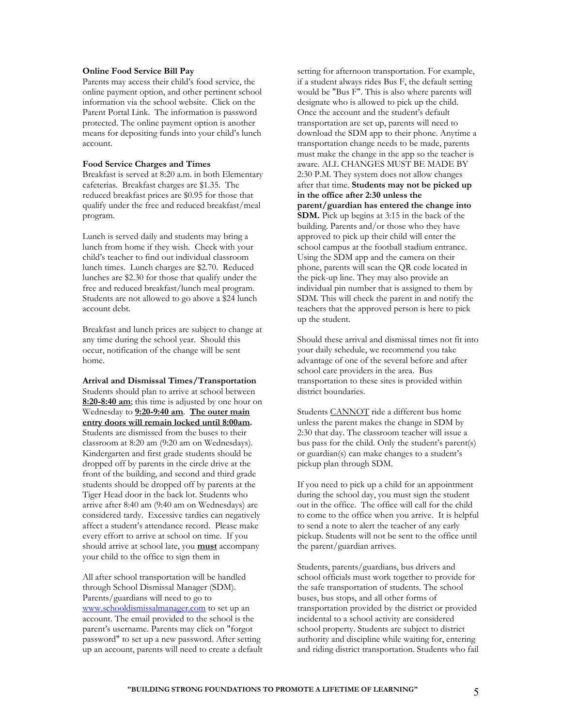## **Online Food Service Bill Pay**

Parents may access their child's food service, the online payment option, and other pertinent school information via the school website. Click on the Parent Portal Link. The information is password protected. The online payment option is another means for depositing funds into your child's lunch account.

#### **Food Service Charges and Times**

Breakfast is served at 8:20 a.m. in both Elementary cafeterias. Breakfast charges are \$1.35. The reduced breakfast prices are \$0.95 for those that qualify under the free and reduced breakfast/meal program.

Lunch is served daily and students may bring a lunch from home if they wish. Check with your child's teacher to find out individual classroom lunch times. Lunch charges are \$2.70. Reduced lunches are \$2.30 for those that qualify under the free and reduced breakfast/lunch meal program. Students are not allowed to go above a \$24 lunch account debt.

Breakfast and lunch prices are subject to change at any time during the school year. Should this occur, notification of the change will be sent home.

**Arrival and Dismissal Times/Transportation** Students should plan to arrive at school between **8:20-8:40 am**; this time is adjusted by one hour on Wednesday to **9:20-9:40 am**. **The outer main entry doors will remain locked until 8:00am.**  Students are dismissed from the buses to their classroom at 8:20 am (9:20 am on Wednesdays). Kindergarten and first grade students should be dropped off by parents in the circle drive at the front of the building, and second and third grade students should be dropped off by parents at the Tiger Head door in the back lot. Students who arrive after 8:40 am (9:40 am on Wednesdays) are considered tardy. Excessive tardies can negatively affect a student's attendance record. Please make every effort to arrive at school on time. If you should arrive at school late, you **must** accompany your child to the office to sign them in

All after school transportation will be handled through School Dismissal Manager (SDM). Parents/guardians will need to go to [www.schooldismissalmanager.com](http://www.schooldismissalmanager.com/) to set up an account. The email provided to the school is the parent's username. Parents may click on "forgot password" to set up a new password. After setting up an account, parents will need to create a default setting for afternoon transportation. For example, if a student always rides Bus F, the default setting would be "Bus F". This is also where parents will designate who is allowed to pick up the child. Once the account and the student's default transportation are set up, parents will need to download the SDM app to their phone. Anytime a transportation change needs to be made, parents must make the change in the app so the teacher is aware. ALL CHANGES MUST BE MADE BY 2:30 P.M. They system does not allow changes after that time. **Students may not be picked up in the office after 2:30 unless the parent/guardian has entered the change into SDM.** Pick up begins at 3:15 in the back of the building. Parents and/or those who they have approved to pick up their child will enter the school campus at the football stadium entrance. Using the SDM app and the camera on their phone, parents will scan the QR code located in the pick-up line. They may also provide an individual pin number that is assigned to them by SDM. This will check the parent in and notify the teachers that the approved person is here to pick up the student.

Should these arrival and dismissal times not fit into your daily schedule, we recommend you take advantage of one of the several before and after school care providers in the area. Bus transportation to these sites is provided within district boundaries.

Students CANNOT ride a different bus home unless the parent makes the change in SDM by 2:30 that day. The classroom teacher will issue a bus pass for the child. Only the student's parent(s) or guardian(s) can make changes to a student's pickup plan through SDM.

If you need to pick up a child for an appointment during the school day, you must sign the student out in the office. The office will call for the child to come to the office when you arrive. It is helpful to send a note to alert the teacher of any early pickup. Students will not be sent to the office until the parent/guardian arrives.

Students, parents/guardians, bus drivers and school officials must work together to provide for the safe transportation of students. The school buses, bus stops, and all other forms of transportation provided by the district or provided incidental to a school activity are considered school property. Students are subject to district authority and discipline while waiting for, entering and riding district transportation. Students who fail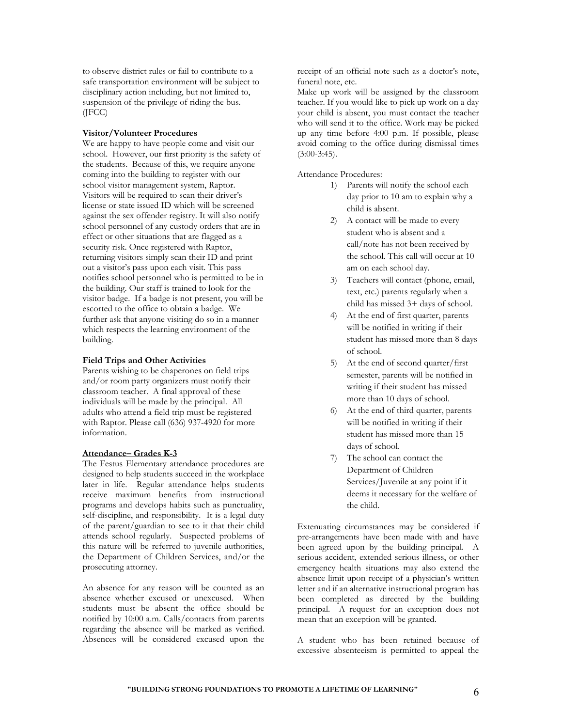to observe district rules or fail to contribute to a safe transportation environment will be subject to disciplinary action including, but not limited to, suspension of the privilege of riding the bus. (JFCC)

## **Visitor/Volunteer Procedures**

We are happy to have people come and visit our school. However, our first priority is the safety of the students. Because of this, we require anyone coming into the building to register with our school visitor management system, Raptor. Visitors will be required to scan their driver's license or state issued ID which will be screened against the sex offender registry. It will also notify school personnel of any custody orders that are in effect or other situations that are flagged as a security risk. Once registered with Raptor, returning visitors simply scan their ID and print out a visitor's pass upon each visit. This pass notifies school personnel who is permitted to be in the building. Our staff is trained to look for the visitor badge. If a badge is not present, you will be escorted to the office to obtain a badge. We further ask that anyone visiting do so in a manner which respects the learning environment of the building.

## **Field Trips and Other Activities**

Parents wishing to be chaperones on field trips and/or room party organizers must notify their classroom teacher. A final approval of these individuals will be made by the principal. All adults who attend a field trip must be registered with Raptor. Please call (636) 937-4920 for more information.

## **Attendance– Grades K-3**

The Festus Elementary attendance procedures are designed to help students succeed in the workplace later in life. Regular attendance helps students receive maximum benefits from instructional programs and develops habits such as punctuality, self-discipline, and responsibility. It is a legal duty of the parent/guardian to see to it that their child attends school regularly. Suspected problems of this nature will be referred to juvenile authorities, the Department of Children Services, and/or the prosecuting attorney.

An absence for any reason will be counted as an absence whether excused or unexcused. When students must be absent the office should be notified by 10:00 a.m. Calls/contacts from parents regarding the absence will be marked as verified. Absences will be considered excused upon the

receipt of an official note such as a doctor's note, funeral note, etc.

Make up work will be assigned by the classroom teacher. If you would like to pick up work on a day your child is absent, you must contact the teacher who will send it to the office. Work may be picked up any time before 4:00 p.m. If possible, please avoid coming to the office during dismissal times  $(3:00-3:45)$ .

Attendance Procedures:

- 1) Parents will notify the school each day prior to 10 am to explain why a child is absent.
- 2) A contact will be made to every student who is absent and a call/note has not been received by the school. This call will occur at 10 am on each school day.
- 3) Teachers will contact (phone, email, text, etc.) parents regularly when a child has missed 3+ days of school.
- 4) At the end of first quarter, parents will be notified in writing if their student has missed more than 8 days of school.
- 5) At the end of second quarter/first semester, parents will be notified in writing if their student has missed more than 10 days of school.
- 6) At the end of third quarter, parents will be notified in writing if their student has missed more than 15 days of school.
- 7) The school can contact the Department of Children Services/Juvenile at any point if it deems it necessary for the welfare of the child.

Extenuating circumstances may be considered if pre-arrangements have been made with and have been agreed upon by the building principal. A serious accident, extended serious illness, or other emergency health situations may also extend the absence limit upon receipt of a physician's written letter and if an alternative instructional program has been completed as directed by the building principal. A request for an exception does not mean that an exception will be granted.

A student who has been retained because of excessive absenteeism is permitted to appeal the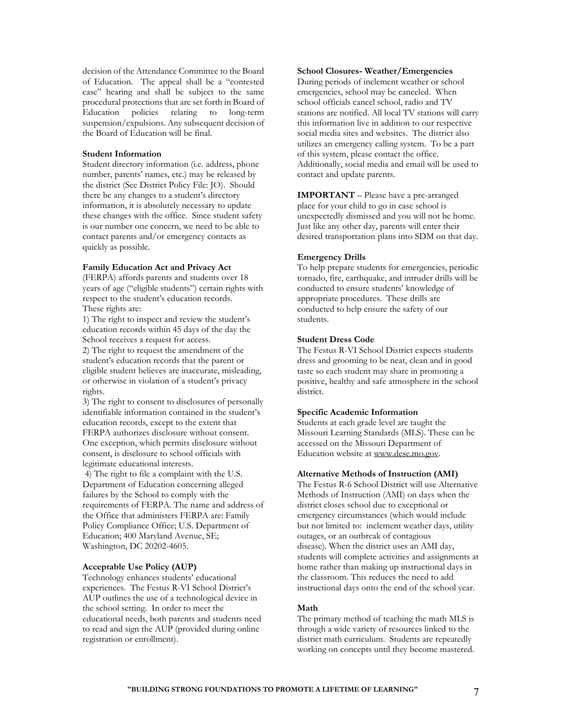decision of the Attendance Committee to the Board of Education. The appeal shall be a "contested case" hearing and shall be subject to the same procedural protections that are set forth in Board of Education policies relating to long-term suspension/expulsions. Any subsequent decision of the Board of Education will be final.

#### **Student Information**

Student directory information (i.e. address, phone number, parents' names, etc.) may be released by the district (See District Policy File: JO). Should there be any changes to a student's directory information, it is absolutely necessary to update these changes with the office. Since student safety is our number one concern, we need to be able to contact parents and/or emergency contacts as quickly as possible.

## **Family Education Act and Privacy Act**

(FERPA) affords parents and students over 18 years of age ("eligible students") certain rights with respect to the student's education records. These rights are:

1) The right to inspect and review the student's education records within 45 days of the day the School receives a request for access.

2) The right to request the amendment of the student's education records that the parent or eligible student believes are inaccurate, misleading, or otherwise in violation of a student's privacy rights.

3) The right to consent to disclosures of personally identifiable information contained in the student's education records, except to the extent that FERPA authorizes disclosure without consent. One exception, which permits disclosure without consent, is disclosure to school officials with legitimate educational interests.

4) The right to file a complaint with the U.S. Department of Education concerning alleged failures by the School to comply with the requirements of FERPA. The name and address of the Office that administers FERPA are: Family Policy Compliance Office; U.S. Department of Education; 400 Maryland Avenue, SE; Washington, DC 20202-4605.

#### **Acceptable Use Policy (AUP)**

Technology enhances students' educational experiences. The Festus R-VI School District's AUP outlines the use of a technological device in the school setting. In order to meet the educational needs, both parents and students need to read and sign the AUP (provided during online registration or enrollment).

## **School Closures- Weather/Emergencies**

During periods of inclement weather or school emergencies, school may be canceled. When school officials cancel school, radio and TV stations are notified. All local TV stations will carry this information live in addition to our respective social media sites and websites. The district also utilizes an emergency calling system. To be a part of this system, please contact the office. Additionally, social media and email will be used to contact and update parents.

**IMPORTANT** – Please have a pre-arranged place for your child to go in case school is unexpectedly dismissed and you will not be home. Just like any other day, parents will enter their desired transportation plans into SDM on that day.

## **Emergency Drills**

To help prepare students for emergencies, periodic tornado, fire, earthquake, and intruder drills will be conducted to ensure students' knowledge of appropriate procedures. These drills are conducted to help ensure the safety of our students.

## **Student Dress Code**

The Festus R-VI School District expects students dress and grooming to be neat, clean and in good taste so each student may share in promoting a positive, healthy and safe atmosphere in the school district.

## **Specific Academic Information**

Students at each grade level are taught the Missouri Learning Standards (MLS). These can be accessed on the Missouri Department of Education website a[t www.dese.mo.gov.](http://www.dese.mo.gov/)

#### **Alternative Methods of Instruction (AMI)**

The Festus R-6 School District will use Alternative Methods of Instruction (AMI) on days when the district closes school due to exceptional or emergency circumstances (which would include but not limited to: inclement weather days, utility outages, or an outbreak of contagious disease). When the district uses an AMI day, students will complete activities and assignments at home rather than making up instructional days in the classroom. This reduces the need to add instructional days onto the end of the school year.

## **Math**

The primary method of teaching the math MLS is through a wide variety of resources linked to the district math curriculum. Students are repeatedly working on concepts until they become mastered.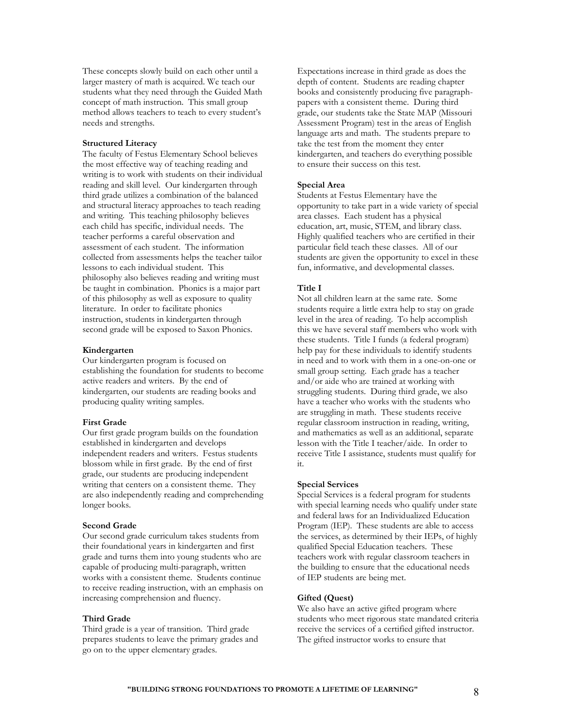These concepts slowly build on each other until a larger mastery of math is acquired. We teach our students what they need through the Guided Math concept of math instruction. This small group method allows teachers to teach to every student's needs and strengths.

## **Structured Literacy**

The faculty of Festus Elementary School believes the most effective way of teaching reading and writing is to work with students on their individual reading and skill level. Our kindergarten through third grade utilizes a combination of the balanced and structural literacy approaches to teach reading and writing. This teaching philosophy believes each child has specific, individual needs. The teacher performs a careful observation and assessment of each student. The information collected from assessments helps the teacher tailor lessons to each individual student. This philosophy also believes reading and writing must be taught in combination. Phonics is a major part of this philosophy as well as exposure to quality literature. In order to facilitate phonics instruction, students in kindergarten through second grade will be exposed to Saxon Phonics.

#### **Kindergarten**

Our kindergarten program is focused on establishing the foundation for students to become active readers and writers. By the end of kindergarten, our students are reading books and producing quality writing samples.

## **First Grade**

Our first grade program builds on the foundation established in kindergarten and develops independent readers and writers. Festus students blossom while in first grade. By the end of first grade, our students are producing independent writing that centers on a consistent theme. They are also independently reading and comprehending longer books.

## **Second Grade**

Our second grade curriculum takes students from their foundational years in kindergarten and first grade and turns them into young students who are capable of producing multi-paragraph, written works with a consistent theme. Students continue to receive reading instruction, with an emphasis on increasing comprehension and fluency.

## **Third Grade**

Third grade is a year of transition. Third grade prepares students to leave the primary grades and go on to the upper elementary grades.

Expectations increase in third grade as does the depth of content. Students are reading chapter books and consistently producing five paragraphpapers with a consistent theme. During third grade, our students take the State MAP (Missouri Assessment Program) test in the areas of English language arts and math. The students prepare to take the test from the moment they enter kindergarten, and teachers do everything possible to ensure their success on this test.

#### **Special Area**

Students at Festus Elementary have the opportunity to take part in a wide variety of special area classes. Each student has a physical education, art, music, STEM, and library class. Highly qualified teachers who are certified in their particular field teach these classes. All of our students are given the opportunity to excel in these fun, informative, and developmental classes.

## **Title I**

Not all children learn at the same rate. Some students require a little extra help to stay on grade level in the area of reading. To help accomplish this we have several staff members who work with these students. Title I funds (a federal program) help pay for these individuals to identify students in need and to work with them in a one-on-one or small group setting. Each grade has a teacher and/or aide who are trained at working with struggling students. During third grade, we also have a teacher who works with the students who are struggling in math. These students receive regular classroom instruction in reading, writing, and mathematics as well as an additional, separate lesson with the Title I teacher/aide. In order to receive Title I assistance, students must qualify for it.

#### **Special Services**

Special Services is a federal program for students with special learning needs who qualify under state and federal laws for an Individualized Education Program (IEP). These students are able to access the services, as determined by their IEPs, of highly qualified Special Education teachers. These teachers work with regular classroom teachers in the building to ensure that the educational needs of IEP students are being met.

#### **Gifted (Quest)**

We also have an active gifted program where students who meet rigorous state mandated criteria receive the services of a certified gifted instructor. The gifted instructor works to ensure that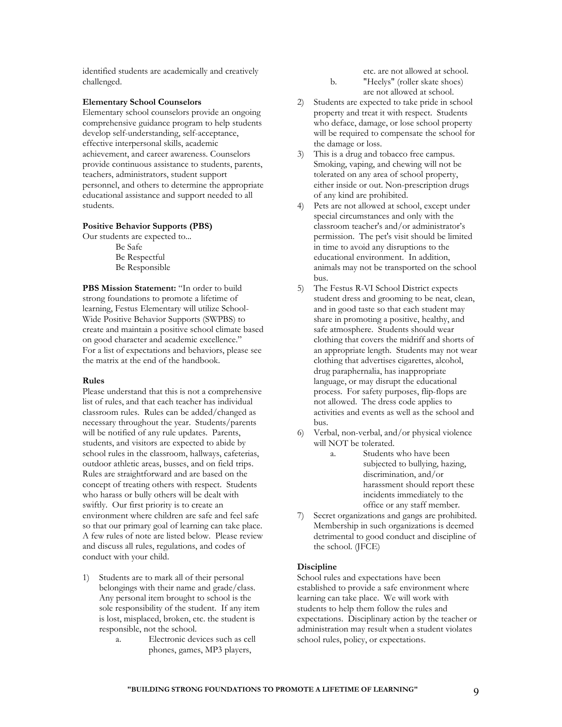identified students are academically and creatively challenged.

## **Elementary School Counselors**

Elementary school counselors provide an ongoing comprehensive guidance program to help students develop self-understanding, self-acceptance, effective interpersonal skills, academic achievement, and career awareness. Counselors provide continuous assistance to students, parents, teachers, administrators, student support personnel, and others to determine the appropriate educational assistance and support needed to all students.

## **Positive Behavior Supports (PBS)**

Our students are expected to... Be Safe Be Respectful

Be Responsible

**PBS Mission Statement:** "In order to build strong foundations to promote a lifetime of learning, Festus Elementary will utilize School-Wide Positive Behavior Supports (SWPBS) to create and maintain a positive school climate based on good character and academic excellence." For a list of expectations and behaviors, please see the matrix at the end of the handbook.

#### **Rules**

Please understand that this is not a comprehensive list of rules, and that each teacher has individual classroom rules. Rules can be added/changed as necessary throughout the year. Students/parents will be notified of any rule updates. Parents, students, and visitors are expected to abide by school rules in the classroom, hallways, cafeterias, outdoor athletic areas, busses, and on field trips. Rules are straightforward and are based on the concept of treating others with respect. Students who harass or bully others will be dealt with swiftly. Our first priority is to create an environment where children are safe and feel safe so that our primary goal of learning can take place. A few rules of note are listed below. Please review and discuss all rules, regulations, and codes of conduct with your child.

- 1) Students are to mark all of their personal belongings with their name and grade/class. Any personal item brought to school is the sole responsibility of the student. If any item is lost, misplaced, broken, etc. the student is responsible, not the school.
	- a. Electronic devices such as cell phones, games, MP3 players,

etc. are not allowed at school.

- b. "Heelys" (roller skate shoes) are not allowed at school.
- 2) Students are expected to take pride in school property and treat it with respect. Students who deface, damage, or lose school property will be required to compensate the school for the damage or loss.
- 3) This is a drug and tobacco free campus. Smoking, vaping, and chewing will not be tolerated on any area of school property, either inside or out. Non-prescription drugs of any kind are prohibited.
- 4) Pets are not allowed at school, except under special circumstances and only with the classroom teacher's and/or administrator's permission. The pet's visit should be limited in time to avoid any disruptions to the educational environment. In addition, animals may not be transported on the school bus.
- 5) The Festus R-VI School District expects student dress and grooming to be neat, clean, and in good taste so that each student may share in promoting a positive, healthy, and safe atmosphere. Students should wear clothing that covers the midriff and shorts of an appropriate length. Students may not wear clothing that advertises cigarettes, alcohol, drug paraphernalia, has inappropriate language, or may disrupt the educational process. For safety purposes, flip-flops are not allowed. The dress code applies to activities and events as well as the school and bus.
- 6) Verbal, non-verbal, and/or physical violence will NOT be tolerated.
	- a. Students who have been subjected to bullying, hazing, discrimination, and/or harassment should report these incidents immediately to the office or any staff member.
- 7) Secret organizations and gangs are prohibited. Membership in such organizations is deemed detrimental to good conduct and discipline of the school. (JFCE)

#### **Discipline**

School rules and expectations have been established to provide a safe environment where learning can take place. We will work with students to help them follow the rules and expectations. Disciplinary action by the teacher or administration may result when a student violates school rules, policy, or expectations.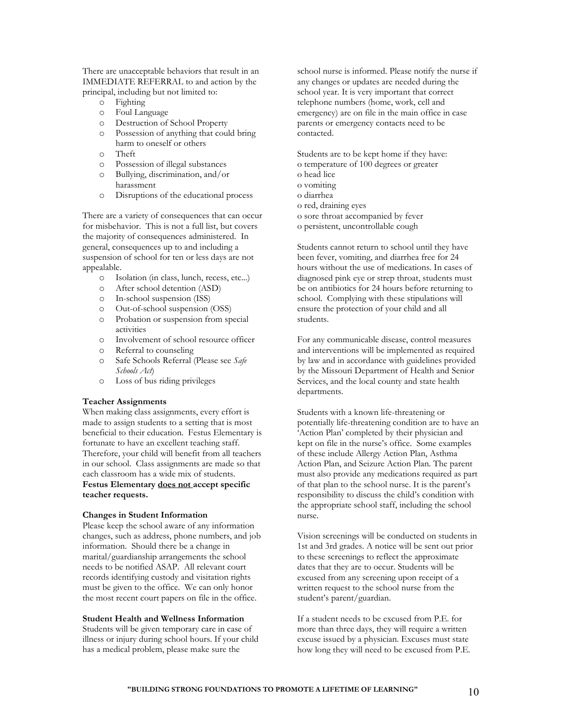There are unacceptable behaviors that result in an IMMEDIATE REFERRAL to and action by the principal, including but not limited to:

- o Fighting
- o Foul Language
- o Destruction of School Property
- o Possession of anything that could bring harm to oneself or others
- o Theft
- o Possession of illegal substances
- o Bullying, discrimination, and/or harassment
- o Disruptions of the educational process

There are a variety of consequences that can occur for misbehavior. This is not a full list, but covers the majority of consequences administered. In general, consequences up to and including a suspension of school for ten or less days are not appealable.

- o Isolation (in class, lunch, recess, etc...)
- o After school detention (ASD)
- o In-school suspension (ISS)
- o Out-of-school suspension (OSS)
- o Probation or suspension from special activities
- o Involvement of school resource officer
- o Referral to counseling
- o Safe Schools Referral (Please see *Safe Schools Act*)
- o Loss of bus riding privileges

## **Teacher Assignments**

When making class assignments, every effort is made to assign students to a setting that is most beneficial to their education. Festus Elementary is fortunate to have an excellent teaching staff. Therefore, your child will benefit from all teachers in our school. Class assignments are made so that each classroom has a wide mix of students. **Festus Elementary does not accept specific teacher requests.**

## **Changes in Student Information**

Please keep the school aware of any information changes, such as address, phone numbers, and job information. Should there be a change in marital/guardianship arrangements the school needs to be notified ASAP. All relevant court records identifying custody and visitation rights must be given to the office. We can only honor the most recent court papers on file in the office.

#### **Student Health and Wellness Information**

Students will be given temporary care in case of illness or injury during school hours. If your child has a medical problem, please make sure the

school nurse is informed. Please notify the nurse if any changes or updates are needed during the school year. It is very important that correct telephone numbers (home, work, cell and emergency) are on file in the main office in case parents or emergency contacts need to be contacted.

Students are to be kept home if they have: o temperature of 100 degrees or greater o head lice o vomiting

- o diarrhea
- o red, draining eyes
- o sore throat accompanied by fever
- o persistent, uncontrollable cough

Students cannot return to school until they have been fever, vomiting, and diarrhea free for 24 hours without the use of medications. In cases of diagnosed pink eye or strep throat, students must be on antibiotics for 24 hours before returning to school. Complying with these stipulations will ensure the protection of your child and all students.

For any communicable disease, control measures and interventions will be implemented as required by law and in accordance with guidelines provided by the Missouri Department of Health and Senior Services, and the local county and state health departments.

Students with a known life-threatening or potentially life-threatening condition are to have an 'Action Plan' completed by their physician and kept on file in the nurse's office. Some examples of these include Allergy Action Plan, Asthma Action Plan, and Seizure Action Plan. The parent must also provide any medications required as part of that plan to the school nurse. It is the parent's responsibility to discuss the child's condition with the appropriate school staff, including the school nurse.

Vision screenings will be conducted on students in 1st and 3rd grades. A notice will be sent out prior to these screenings to reflect the approximate dates that they are to occur. Students will be excused from any screening upon receipt of a written request to the school nurse from the student's parent/guardian.

If a student needs to be excused from P.E. for more than three days, they will require a written excuse issued by a physician. Excuses must state how long they will need to be excused from P.E.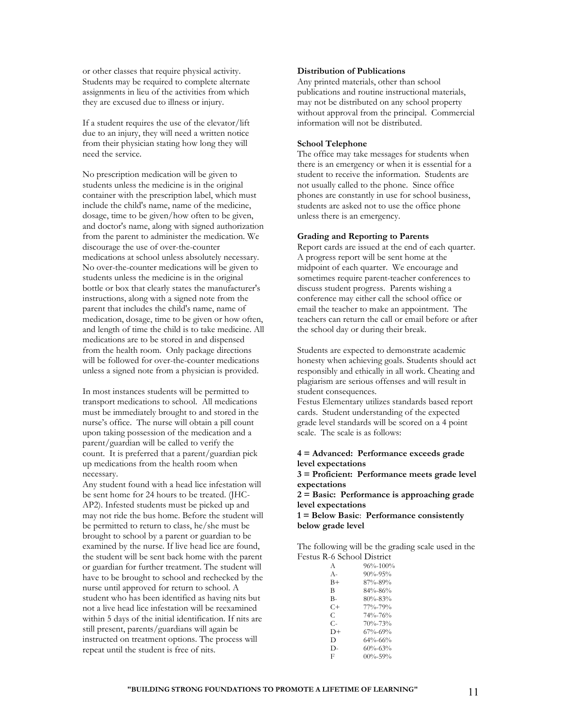or other classes that require physical activity. Students may be required to complete alternate assignments in lieu of the activities from which they are excused due to illness or injury.

If a student requires the use of the elevator/lift due to an injury, they will need a written notice from their physician stating how long they will need the service.

No prescription medication will be given to students unless the medicine is in the original container with the prescription label, which must include the child's name, name of the medicine, dosage, time to be given/how often to be given, and doctor's name, along with signed authorization from the parent to administer the medication. We discourage the use of over-the-counter medications at school unless absolutely necessary. No over-the-counter medications will be given to students unless the medicine is in the original bottle or box that clearly states the manufacturer's instructions, along with a signed note from the parent that includes the child's name, name of medication, dosage, time to be given or how often, and length of time the child is to take medicine. All medications are to be stored in and dispensed from the health room. Only package directions will be followed for over-the-counter medications unless a signed note from a physician is provided.

In most instances students will be permitted to transport medications to school. All medications must be immediately brought to and stored in the nurse's office. The nurse will obtain a pill count upon taking possession of the medication and a parent/guardian will be called to verify the count. It is preferred that a parent/guardian pick up medications from the health room when necessary.

Any student found with a head lice infestation will be sent home for 24 hours to be treated. (JHC-AP2). Infested students must be picked up and may not ride the bus home. Before the student will be permitted to return to class, he/she must be brought to school by a parent or guardian to be examined by the nurse. If live head lice are found, the student will be sent back home with the parent or guardian for further treatment. The student will have to be brought to school and rechecked by the nurse until approved for return to school. A student who has been identified as having nits but not a live head lice infestation will be reexamined within 5 days of the initial identification. If nits are still present, parents/guardians will again be instructed on treatment options. The process will repeat until the student is free of nits.

# **Distribution of Publications**

Any printed materials, other than school publications and routine instructional materials, may not be distributed on any school property without approval from the principal. Commercial information will not be distributed.

## **School Telephone**

The office may take messages for students when there is an emergency or when it is essential for a student to receive the information. Students are not usually called to the phone. Since office phones are constantly in use for school business, students are asked not to use the office phone unless there is an emergency.

## **Grading and Reporting to Parents**

Report cards are issued at the end of each quarter. A progress report will be sent home at the midpoint of each quarter. We encourage and sometimes require parent-teacher conferences to discuss student progress. Parents wishing a conference may either call the school office or email the teacher to make an appointment. The teachers can return the call or email before or after the school day or during their break.

Students are expected to demonstrate academic honesty when achieving goals. Students should act responsibly and ethically in all work. Cheating and plagiarism are serious offenses and will result in student consequences.

Festus Elementary utilizes standards based report cards. Student understanding of the expected grade level standards will be scored on a 4 point scale. The scale is as follows:

## **4 = Advanced: Performance exceeds grade level expectations**

**3 = Proficient: Performance meets grade level expectations**

**2 = Basic: Performance is approaching grade level expectations**

**1 = Below Basic**: **Performance consistently below grade level**

The following will be the grading scale used in the Festus R-6 School District

| A             | $96\% - 100\%$ |
|---------------|----------------|
| A-            | $90\% - 95\%$  |
| B+            | $87\% - 89\%$  |
| B             | 84%-86%        |
| $B -$         | $80\% - 83\%$  |
| $C+$          | 77%-79%        |
| $\subset$     | $74\% - 76\%$  |
| $\mathcal{C}$ | $70\% - 73\%$  |
| $D+$          | $67\% - 69\%$  |
| D             | $64\% - 66\%$  |
| D-            | $60\% - 63\%$  |
| E             | $00\% - 59\%$  |
|               |                |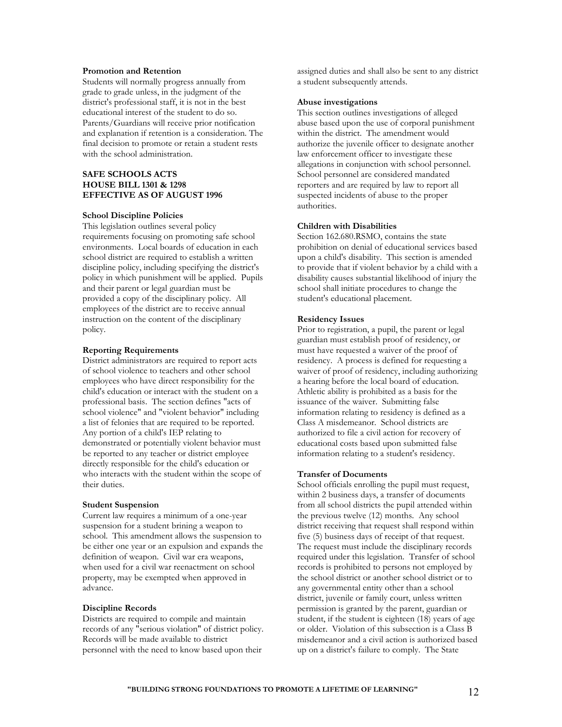## **Promotion and Retention**

Students will normally progress annually from grade to grade unless, in the judgment of the district's professional staff, it is not in the best educational interest of the student to do so. Parents/Guardians will receive prior notification and explanation if retention is a consideration. The final decision to promote or retain a student rests with the school administration.

## **SAFE SCHOOLS ACTS HOUSE BILL 1301 & 1298 EFFECTIVE AS OF AUGUST 1996**

#### **School Discipline Policies**

This legislation outlines several policy requirements focusing on promoting safe school environments. Local boards of education in each school district are required to establish a written discipline policy, including specifying the district's policy in which punishment will be applied. Pupils and their parent or legal guardian must be provided a copy of the disciplinary policy. All employees of the district are to receive annual instruction on the content of the disciplinary policy.

## **Reporting Requirements**

District administrators are required to report acts of school violence to teachers and other school employees who have direct responsibility for the child's education or interact with the student on a professional basis. The section defines "acts of school violence" and "violent behavior" including a list of felonies that are required to be reported. Any portion of a child's IEP relating to demonstrated or potentially violent behavior must be reported to any teacher or district employee directly responsible for the child's education or who interacts with the student within the scope of their duties.

#### **Student Suspension**

Current law requires a minimum of a one-year suspension for a student brining a weapon to school. This amendment allows the suspension to be either one year or an expulsion and expands the definition of weapon. Civil war era weapons, when used for a civil war reenactment on school property, may be exempted when approved in advance.

#### **Discipline Records**

Districts are required to compile and maintain records of any "serious violation" of district policy. Records will be made available to district personnel with the need to know based upon their

assigned duties and shall also be sent to any district a student subsequently attends.

#### **Abuse investigations**

This section outlines investigations of alleged abuse based upon the use of corporal punishment within the district. The amendment would authorize the juvenile officer to designate another law enforcement officer to investigate these allegations in conjunction with school personnel. School personnel are considered mandated reporters and are required by law to report all suspected incidents of abuse to the proper authorities.

## **Children with Disabilities**

Section 162.680.RSMO, contains the state prohibition on denial of educational services based upon a child's disability. This section is amended to provide that if violent behavior by a child with a disability causes substantial likelihood of injury the school shall initiate procedures to change the student's educational placement.

#### **Residency Issues**

Prior to registration, a pupil, the parent or legal guardian must establish proof of residency, or must have requested a waiver of the proof of residency. A process is defined for requesting a waiver of proof of residency, including authorizing a hearing before the local board of education. Athletic ability is prohibited as a basis for the issuance of the waiver. Submitting false information relating to residency is defined as a Class A misdemeanor. School districts are authorized to file a civil action for recovery of educational costs based upon submitted false information relating to a student's residency.

## **Transfer of Documents**

School officials enrolling the pupil must request, within 2 business days, a transfer of documents from all school districts the pupil attended within the previous twelve (12) months. Any school district receiving that request shall respond within five (5) business days of receipt of that request. The request must include the disciplinary records required under this legislation. Transfer of school records is prohibited to persons not employed by the school district or another school district or to any governmental entity other than a school district, juvenile or family court, unless written permission is granted by the parent, guardian or student, if the student is eighteen (18) years of age or older. Violation of this subsection is a Class B misdemeanor and a civil action is authorized based up on a district's failure to comply. The State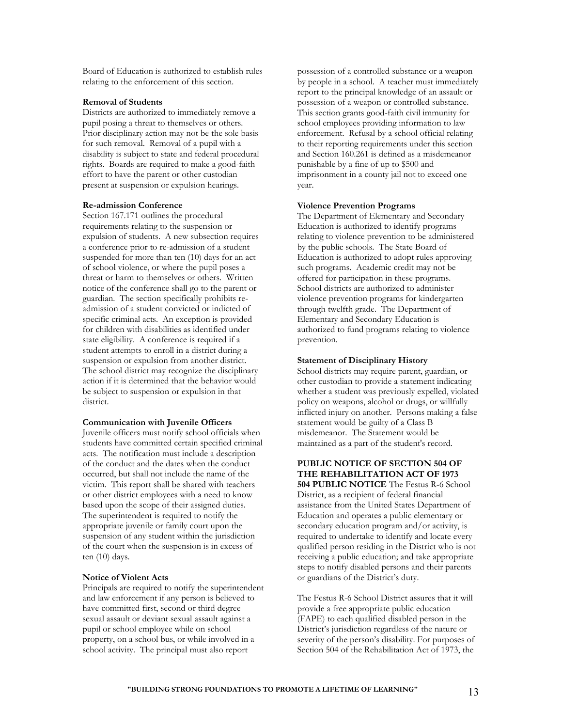Board of Education is authorized to establish rules relating to the enforcement of this section.

## **Removal of Students**

Districts are authorized to immediately remove a pupil posing a threat to themselves or others. Prior disciplinary action may not be the sole basis for such removal. Removal of a pupil with a disability is subject to state and federal procedural rights. Boards are required to make a good-faith effort to have the parent or other custodian present at suspension or expulsion hearings.

#### **Re-admission Conference**

Section 167.171 outlines the procedural requirements relating to the suspension or expulsion of students. A new subsection requires a conference prior to re-admission of a student suspended for more than ten (10) days for an act of school violence, or where the pupil poses a threat or harm to themselves or others. Written notice of the conference shall go to the parent or guardian. The section specifically prohibits readmission of a student convicted or indicted of specific criminal acts. An exception is provided for children with disabilities as identified under state eligibility. A conference is required if a student attempts to enroll in a district during a suspension or expulsion from another district. The school district may recognize the disciplinary action if it is determined that the behavior would be subject to suspension or expulsion in that district.

#### **Communication with Juvenile Officers**

Juvenile officers must notify school officials when students have committed certain specified criminal acts. The notification must include a description of the conduct and the dates when the conduct occurred, but shall not include the name of the victim. This report shall be shared with teachers or other district employees with a need to know based upon the scope of their assigned duties. The superintendent is required to notify the appropriate juvenile or family court upon the suspension of any student within the jurisdiction of the court when the suspension is in excess of ten (10) days.

#### **Notice of Violent Acts**

Principals are required to notify the superintendent and law enforcement if any person is believed to have committed first, second or third degree sexual assault or deviant sexual assault against a pupil or school employee while on school property, on a school bus, or while involved in a school activity. The principal must also report

possession of a controlled substance or a weapon by people in a school. A teacher must immediately report to the principal knowledge of an assault or possession of a weapon or controlled substance. This section grants good-faith civil immunity for school employees providing information to law enforcement. Refusal by a school official relating to their reporting requirements under this section and Section 160.261 is defined as a misdemeanor punishable by a fine of up to \$500 and imprisonment in a county jail not to exceed one year.

## **Violence Prevention Programs**

The Department of Elementary and Secondary Education is authorized to identify programs relating to violence prevention to be administered by the public schools. The State Board of Education is authorized to adopt rules approving such programs. Academic credit may not be offered for participation in these programs. School districts are authorized to administer violence prevention programs for kindergarten through twelfth grade. The Department of Elementary and Secondary Education is authorized to fund programs relating to violence prevention.

#### **Statement of Disciplinary History**

School districts may require parent, guardian, or other custodian to provide a statement indicating whether a student was previously expelled, violated policy on weapons, alcohol or drugs, or willfully inflicted injury on another. Persons making a false statement would be guilty of a Class B misdemeanor. The Statement would be maintained as a part of the student's record.

# **PUBLIC NOTICE OF SECTION 504 OF THE REHABILITATION ACT OF 1973**

**504 PUBLIC NOTICE** The Festus R-6 School District, as a recipient of federal financial assistance from the United States Department of Education and operates a public elementary or secondary education program and/or activity, is required to undertake to identify and locate every qualified person residing in the District who is not receiving a public education; and take appropriate steps to notify disabled persons and their parents or guardians of the District's duty.

The Festus R-6 School District assures that it will provide a free appropriate public education (FAPE) to each qualified disabled person in the District's jurisdiction regardless of the nature or severity of the person's disability. For purposes of Section 504 of the Rehabilitation Act of 1973, the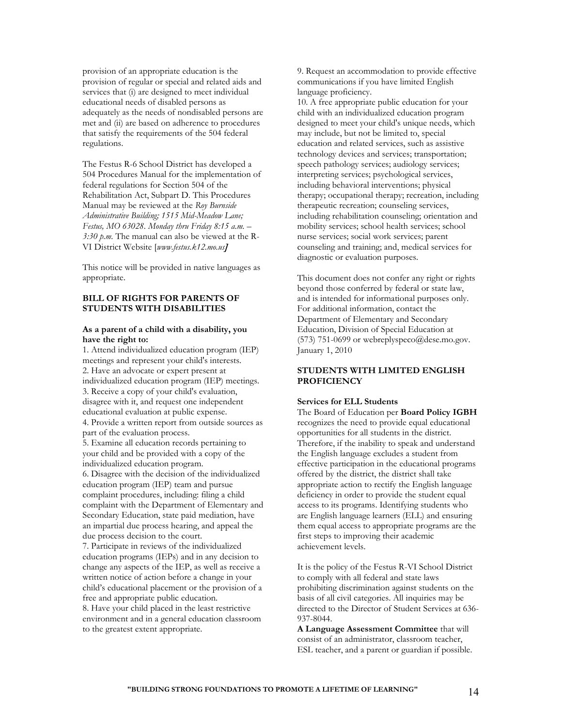provision of an appropriate education is the provision of regular or special and related aids and services that (i) are designed to meet individual educational needs of disabled persons as adequately as the needs of nondisabled persons are met and (ii) are based on adherence to procedures that satisfy the requirements of the 504 federal regulations.

The Festus R-6 School District has developed a 504 Procedures Manual for the implementation of federal regulations for Section 504 of the Rehabilitation Act, Subpart D. This Procedures Manual may be reviewed at the *Roy Burnside Administrative Building; 1515 Mid-Meadow Lane; Festus, MO 63028. Monday thru Friday 8:15 a.m. – 3:30 p.m.* The manual can also be viewed at the R-VI District Website [*www.festus.k12.mo.us*]

This notice will be provided in native languages as appropriate.

## **BILL OF RIGHTS FOR PARENTS OF STUDENTS WITH DISABILITIES**

## **As a parent of a child with a disability, you have the right to:**

1. Attend individualized education program (IEP) meetings and represent your child's interests. 2. Have an advocate or expert present at individualized education program (IEP) meetings. 3. Receive a copy of your child's evaluation, disagree with it, and request one independent educational evaluation at public expense. 4. Provide a written report from outside sources as part of the evaluation process.

5. Examine all education records pertaining to your child and be provided with a copy of the individualized education program.

6. Disagree with the decision of the individualized education program (IEP) team and pursue complaint procedures, including: filing a child complaint with the Department of Elementary and Secondary Education, state paid mediation, have an impartial due process hearing, and appeal the due process decision to the court.

7. Participate in reviews of the individualized education programs (IEPs) and in any decision to change any aspects of the IEP, as well as receive a written notice of action before a change in your child's educational placement or the provision of a free and appropriate public education. 8. Have your child placed in the least restrictive environment and in a general education classroom to the greatest extent appropriate.

9. Request an accommodation to provide effective communications if you have limited English language proficiency.

10. A free appropriate public education for your child with an individualized education program designed to meet your child's unique needs, which may include, but not be limited to, special education and related services, such as assistive technology devices and services; transportation; speech pathology services; audiology services; interpreting services; psychological services, including behavioral interventions; physical therapy; occupational therapy; recreation, including therapeutic recreation; counseling services, including rehabilitation counseling; orientation and mobility services; school health services; school nurse services; social work services; parent counseling and training; and, medical services for diagnostic or evaluation purposes.

This document does not confer any right or rights beyond those conferred by federal or state law, and is intended for informational purposes only. For additional information, contact the Department of Elementary and Secondary Education, Division of Special Education at (573) 751-0699 or webreplyspeco@dese.mo.gov. January 1, 2010

## **STUDENTS WITH LIMITED ENGLISH PROFICIENCY**

## **Services for ELL Students**

The Board of Education per **Board Policy IGBH**  recognizes the need to provide equal educational opportunities for all students in the district. Therefore, if the inability to speak and understand the English language excludes a student from effective participation in the educational programs offered by the district, the district shall take appropriate action to rectify the English language deficiency in order to provide the student equal access to its programs. Identifying students who are English language learners (ELL) and ensuring them equal access to appropriate programs are the first steps to improving their academic achievement levels.

It is the policy of the Festus R-VI School District to comply with all federal and state laws prohibiting discrimination against students on the basis of all civil categories. All inquiries may be directed to the Director of Student Services at 636- 937-8044.

**A Language Assessment Committee** that will consist of an administrator, classroom teacher, ESL teacher, and a parent or guardian if possible.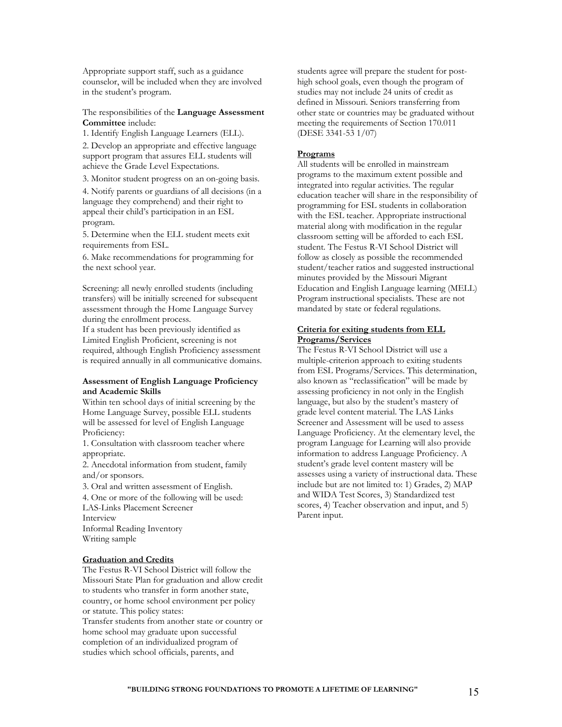Appropriate support staff, such as a guidance counselor, will be included when they are involved in the student's program.

The responsibilities of the **Language Assessment Committee** include:

1. Identify English Language Learners (ELL).

2. Develop an appropriate and effective language support program that assures ELL students will achieve the Grade Level Expectations.

3. Monitor student progress on an on-going basis.

4. Notify parents or guardians of all decisions (in a language they comprehend) and their right to appeal their child's participation in an ESL program.

5. Determine when the ELL student meets exit requirements from ESL.

6. Make recommendations for programming for the next school year.

Screening: all newly enrolled students (including transfers) will be initially screened for subsequent assessment through the Home Language Survey during the enrollment process.

If a student has been previously identified as Limited English Proficient, screening is not required, although English Proficiency assessment is required annually in all communicative domains.

## **Assessment of English Language Proficiency and Academic Skills**

Within ten school days of initial screening by the Home Language Survey, possible ELL students will be assessed for level of English Language Proficiency:

1. Consultation with classroom teacher where appropriate.

2. Anecdotal information from student, family and/or sponsors.

3. Oral and written assessment of English.

4. One or more of the following will be used: LAS-Links Placement Screener Interview

Informal Reading Inventory Writing sample

#### **Graduation and Credits**

The Festus R-VI School District will follow the Missouri State Plan for graduation and allow credit to students who transfer in form another state, country, or home school environment per policy or statute. This policy states:

Transfer students from another state or country or home school may graduate upon successful completion of an individualized program of studies which school officials, parents, and

students agree will prepare the student for posthigh school goals, even though the program of studies may not include 24 units of credit as defined in Missouri. Seniors transferring from other state or countries may be graduated without meeting the requirements of Section 170.011 (DESE 3341-53 1/07)

#### **Programs**

All students will be enrolled in mainstream programs to the maximum extent possible and integrated into regular activities. The regular education teacher will share in the responsibility of programming for ESL students in collaboration with the ESL teacher. Appropriate instructional material along with modification in the regular classroom setting will be afforded to each ESL student. The Festus R-VI School District will follow as closely as possible the recommended student/teacher ratios and suggested instructional minutes provided by the Missouri Migrant Education and English Language learning (MELL) Program instructional specialists. These are not mandated by state or federal regulations.

## **Criteria for exiting students from ELL Programs/Services**

The Festus R-VI School District will use a multiple-criterion approach to exiting students from ESL Programs/Services. This determination, also known as "reclassification" will be made by assessing proficiency in not only in the English language, but also by the student's mastery of grade level content material. The LAS Links Screener and Assessment will be used to assess Language Proficiency. At the elementary level, the program Language for Learning will also provide information to address Language Proficiency. A student's grade level content mastery will be assesses using a variety of instructional data. These include but are not limited to: 1) Grades, 2) MAP and WIDA Test Scores, 3) Standardized test scores, 4) Teacher observation and input, and 5) Parent input.